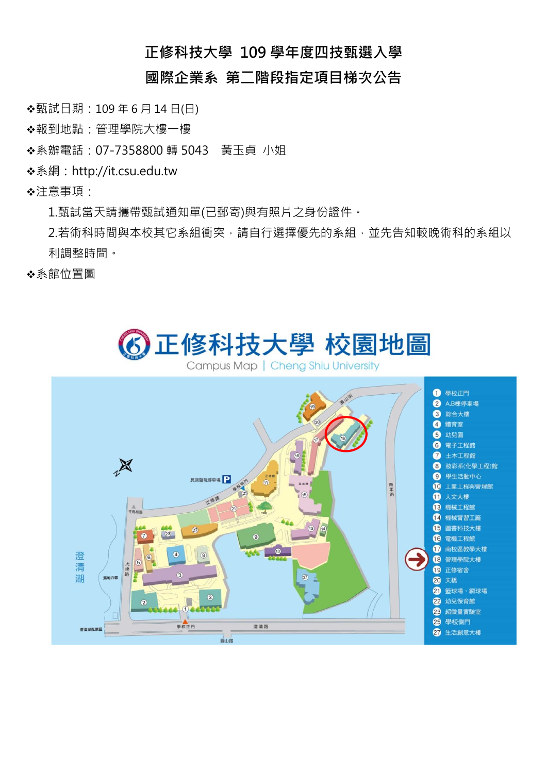## **正修科技大學 109 學年度四技甄選入學**

## **國際企業系 第二階段指定項目梯次公告**

甄試日期:109 年 6 月 14 日(日)

◆報到地點:管理學院大樓一樓

◆系辦電話: 07-7358800 轉 5043 黃玉貞 小姐

系網:http://it.csu.edu.tw

注意事項:

1.甄試當天請攜帶甄試通知單(已郵寄)與有照片之身份證件。

2.若術科時間與本校其它系組衝突,請自行選擇優先的系組,並先告知較晚術科的系組以 利調整時間。

◆系館位置圖

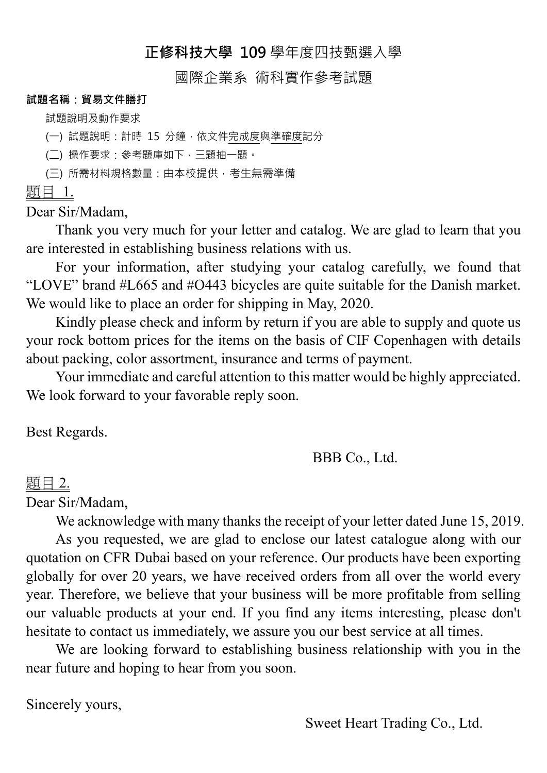# **正修科技大學 109** 學年度四技甄選入學

## 國際企業系 術科實作參考試題

#### **試題名稱:貿易文件膳打**

試題說明及動作要求

(一) 試題說明: 計時 15 分鐘, 依文件完成度與準確度記分

(二) 操作要求:參考題庫如下,三題抽一題。

(三) 所需材料規格數量:由本校提供,考生無需準備

題目 1.

Dear Sir/Madam,

Thank you very much for your letter and catalog. We are glad to learn that you are interested in establishing business relations with us.

For your information, after studying your catalog carefully, we found that "LOVE" brand #L665 and #O443 bicycles are quite suitable for the Danish market. We would like to place an order for shipping in May, 2020.

Kindly please check and inform by return if you are able to supply and quote us your rock bottom prices for the items on the basis of CIF Copenhagen with details about packing, color assortment, insurance and terms of payment.

Your immediate and careful attention to this matter would be highly appreciated. We look forward to your favorable reply soon.

Best Regards.

# BBB Co., Ltd.

## 題目 2.

Dear Sir/Madam,

We acknowledge with many thanks the receipt of your letter dated June 15, 2019.

As you requested, we are glad to enclose our latest catalogue along with our quotation on CFR Dubai based on your reference. Our products have been exporting globally for over 20 years, we have received orders from all over the world every year. Therefore, we believe that your business will be more profitable from selling our valuable products at your end. If you find any items interesting, please don't hesitate to contact us immediately, we assure you our best service at all times.

We are looking forward to establishing business relationship with you in the near future and hoping to hear from you soon.

Sincerely yours,

Sweet Heart Trading Co., Ltd.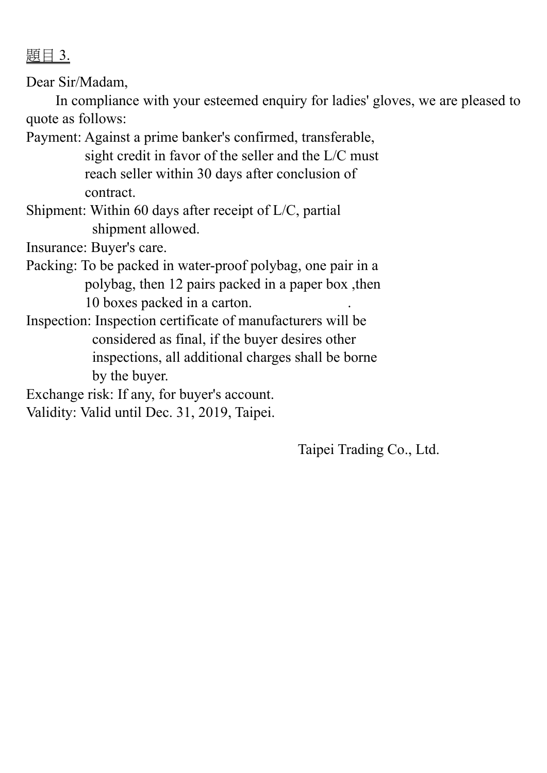題目 3.

Dear Sir/Madam,

In compliance with your esteemed enquiry for ladies' gloves, we are pleased to quote as follows:

Payment: Against a prime banker's confirmed, transferable, sight credit in favor of the seller and the L/C must reach seller within 30 days after conclusion of contract.

Shipment: Within 60 days after receipt of L/C, partial shipment allowed.

Insurance: Buyer's care.

Packing: To be packed in water-proof polybag, one pair in a polybag, then 12 pairs packed in a paper box ,then 10 boxes packed in a carton.

Inspection: Inspection certificate of manufacturers will be considered as final, if the buyer desires other inspections, all additional charges shall be borne by the buyer.

Exchange risk: If any, for buyer's account.

Validity: Valid until Dec. 31, 2019, Taipei.

Taipei Trading Co., Ltd.